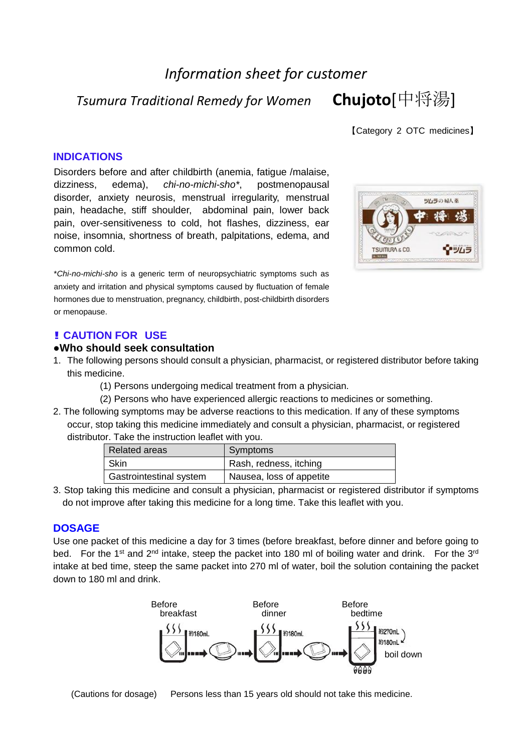# *Information sheet for customer*

*Tsumura Traditional Remedy for Women* **Chujoto**[中将湯]

【Category 2 OTC medicines】

### **INDICATIONS**

Disorders before and after childbirth (anemia, fatigue /malaise, dizziness, edema), *chi-no-michi-sho\**, postmenopausal disorder, anxiety neurosis, menstrual irregularity, menstrual pain, headache, stiff shoulder, abdominal pain, lower back pain, over-sensitiveness to cold, hot flashes, dizziness, ear noise, insomnia, shortness of breath, palpitations, edema, and common cold.

\**Chi-no-michi-sho* is a generic term of neuropsychiatric symptoms such as anxiety and irritation and physical symptoms caused by fluctuation of female hormones due to menstruation, pregnancy, childbirth, post-childbirth disorders or menopause.

#### **! CAUTION FOR USE**

#### **●Who should seek consultation**

- 1. The following persons should consult a physician, pharmacist, or registered distributor before taking this medicine.
	- (1) Persons undergoing medical treatment from a physician.
	- (2) Persons who have experienced allergic reactions to medicines or something.
- 2. The following symptoms may be adverse reactions to this medication. If any of these symptoms occur, stop taking this medicine immediately and consult a physician, pharmacist, or registered distributor. Take the instruction leaflet with you.

| <b>Related areas</b>    | Symptoms                 |
|-------------------------|--------------------------|
| Skin                    | Rash, redness, itching   |
| Gastrointestinal system | Nausea, loss of appetite |

3. Stop taking this medicine and consult a physician, pharmacist or registered distributor if symptoms do not improve after taking this medicine for a long time. Take this leaflet with you.

#### **DOSAGE**

Use one packet of this medicine a day for 3 times (before breakfast, before dinner and before going to bed. For the 1<sup>st</sup> and 2<sup>nd</sup> intake, steep the packet into 180 ml of boiling water and drink. For the 3<sup>rd</sup> intake at bed time, steep the same packet into 270 ml of water, boil the solution containing the packet down to 180 ml and drink.



(Cautions for dosage) Persons less than 15 years old should not take this medicine.